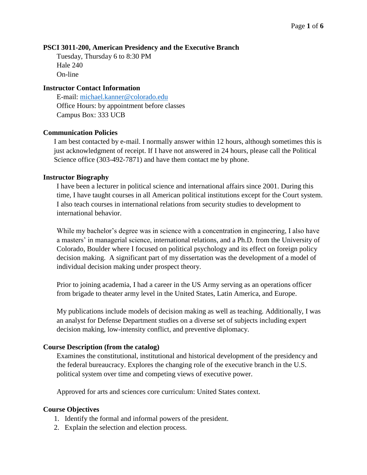#### **PSCI 3011-200, American Presidency and the Executive Branch**

Tuesday, Thursday 6 to 8:30 PM Hale 240 On-line

## **Instructor Contact Information**

E-mail: [michael.kanner@colorado.edu](mailto:michael.kanner@colorado.edu) Office Hours: by appointment before classes Campus Box: 333 UCB

## **Communication Policies**

I am best contacted by e-mail. I normally answer within 12 hours, although sometimes this is just acknowledgment of receipt. If I have not answered in 24 hours, please call the Political Science office (303-492-7871) and have them contact me by phone.

## **Instructor Biography**

I have been a lecturer in political science and international affairs since 2001. During this time, I have taught courses in all American political institutions except for the Court system. I also teach courses in international relations from security studies to development to international behavior.

While my bachelor's degree was in science with a concentration in engineering, I also have a masters' in managerial science, international relations, and a Ph.D. from the University of Colorado, Boulder where I focused on political psychology and its effect on foreign policy decision making. A significant part of my dissertation was the development of a model of individual decision making under prospect theory.

Prior to joining academia, I had a career in the US Army serving as an operations officer from brigade to theater army level in the United States, Latin America, and Europe.

My publications include models of decision making as well as teaching. Additionally, I was an analyst for Defense Department studies on a diverse set of subjects including expert decision making, low-intensity conflict, and preventive diplomacy.

#### **Course Description (from the catalog)**

Examines the constitutional, institutional and historical development of the presidency and the federal bureaucracy. Explores the changing role of the executive branch in the U.S. political system over time and competing views of executive power.

Approved for arts and sciences core curriculum: United States context.

#### **Course Objectives**

- 1. Identify the formal and informal powers of the president.
- 2. Explain the selection and election process.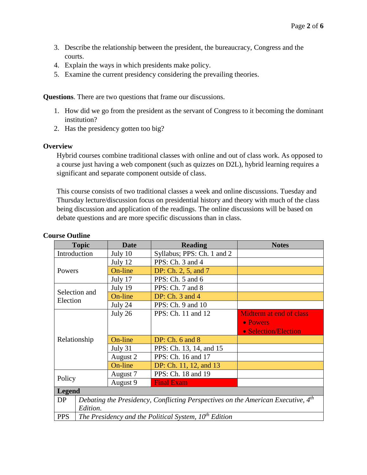- 3. Describe the relationship between the president, the bureaucracy, Congress and the courts.
- 4. Explain the ways in which presidents make policy.
- 5. Examine the current presidency considering the prevailing theories.

**Questions**. There are two questions that frame our discussions.

- 1. How did we go from the president as the servant of Congress to it becoming the dominant institution?
- 2. Has the presidency gotten too big?

#### **Overview**

Hybrid courses combine traditional classes with online and out of class work. As opposed to a course just having a web component (such as quizzes on D2L), hybrid learning requires a significant and separate component outside of class.

This course consists of two traditional classes a week and online discussions. Tuesday and Thursday lecture/discussion focus on presidential history and theory with much of the class being discussion and application of the readings. The online discussions will be based on debate questions and are more specific discussions than in class.

| <b>Topic</b>  | <b>Date</b>                                                                      | <b>Reading</b>             | <b>Notes</b>            |  |  |
|---------------|----------------------------------------------------------------------------------|----------------------------|-------------------------|--|--|
| Introduction  | July 10                                                                          | Syllabus; PPS: Ch. 1 and 2 |                         |  |  |
| Powers        | July 12                                                                          | PPS: Ch. 3 and 4           |                         |  |  |
|               | On-line                                                                          | DP: Ch. 2, 5, and 7        |                         |  |  |
|               | July 17                                                                          | PPS: Ch. 5 and 6           |                         |  |  |
| Selection and | July 19                                                                          | PPS: Ch. 7 and 8           |                         |  |  |
| Election      | On-line                                                                          | DP: $Ch. 3$ and $4$        |                         |  |  |
|               | July 24                                                                          | PPS: Ch. 9 and 10          |                         |  |  |
|               | July 26                                                                          | PPS: Ch. 11 and 12         | Midterm at end of class |  |  |
|               |                                                                                  |                            | • Powers                |  |  |
|               |                                                                                  |                            | • Selection/Election    |  |  |
| Relationship  | On-line                                                                          | DP: $Ch. 6$ and $8$        |                         |  |  |
|               | July 31                                                                          | PPS: Ch. 13, 14, and 15    |                         |  |  |
|               | August 2                                                                         | PPS: Ch. 16 and 17         |                         |  |  |
|               | On-line                                                                          | DP: Ch. 11, 12, and 13     |                         |  |  |
| Policy        | August 7                                                                         | PPS: Ch. 18 and 19         |                         |  |  |
|               | August 9                                                                         | <b>Final Exam</b>          |                         |  |  |
| <b>Legend</b> |                                                                                  |                            |                         |  |  |
| <b>DP</b>     | Debating the Presidency, Conflicting Perspectives on the American Executive, 4th |                            |                         |  |  |
| Edition.      |                                                                                  |                            |                         |  |  |
| <b>PPS</b>    | The Presidency and the Political System, $10^{th}$ Edition                       |                            |                         |  |  |

#### **Course Outline**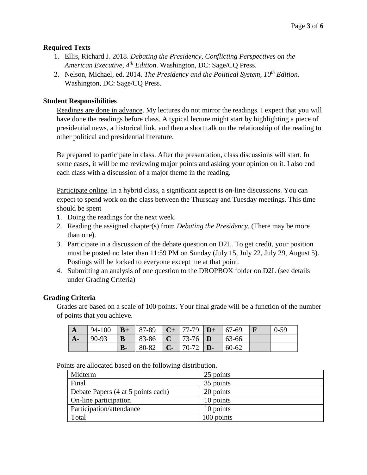# **Required Texts**

- 1. Ellis, Richard J. 2018. *Debating the Presidency, Conflicting Perspectives on the American Executive, 4th Edition*. Washington, DC: Sage/CQ Press.
- 2. Nelson, Michael, ed. 2014. *The Presidency and the Political System, 10th Edition.* Washington, DC: Sage/CQ Press.

# **Student Responsibilities**

Readings are done in advance. My lectures do not mirror the readings. I expect that you will have done the readings before class. A typical lecture might start by highlighting a piece of presidential news, a historical link, and then a short talk on the relationship of the reading to other political and presidential literature.

Be prepared to participate in class. After the presentation, class discussions will start. In some cases, it will be me reviewing major points and asking your opinion on it. I also end each class with a discussion of a major theme in the reading.

Participate online. In a hybrid class, a significant aspect is on-line discussions. You can expect to spend work on the class between the Thursday and Tuesday meetings. This time should be spent

- 1. Doing the readings for the next week.
- 2. Reading the assigned chapter(s) from *Debating the Presidency*. (There may be more than one).
- 3. Participate in a discussion of the debate question on D2L. To get credit, your position must be posted no later than 11:59 PM on Sunday (July 15, July 22, July 29, August 5). Postings will be locked to everyone except me at that point.
- 4. Submitting an analysis of one question to the DROPBOX folder on D2L (see details under Grading Criteria)

# **Grading Criteria**

Grades are based on a scale of 100 points. Your final grade will be a function of the number of points that you achieve.

| $\mathbf{A}$ | 94-100 | $B+$ | $ 87-89\rangle$ | $\mid$ <b>C</b> + 77-79 <b>D</b> + 67-69         |          | $0 - 59$ |
|--------------|--------|------|-----------------|--------------------------------------------------|----------|----------|
| $A-$         | 90-93  | B    | 83-86           | $ C $ 73-76 D                                    | $ 63-66$ |          |
|              |        | $B-$ | 80-82           | $\mid$ <b>C</b> - $\mid$ 70-72 $\mid$ <b>D</b> - | 60-62    |          |

| ັ                                  |            |
|------------------------------------|------------|
| Midterm                            | 25 points  |
| Final                              | 35 points  |
| Debate Papers (4 at 5 points each) | 20 points  |
| On-line participation              | 10 points  |
| Participation/attendance           | 10 points  |
| Total                              | 100 points |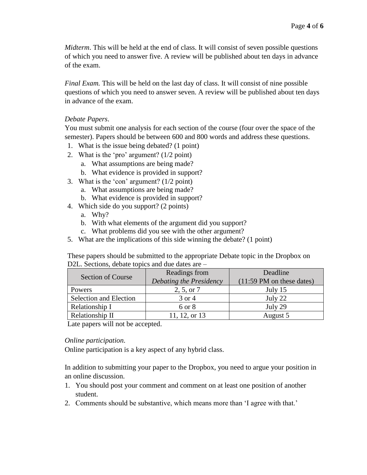*Midterm*. This will be held at the end of class. It will consist of seven possible questions of which you need to answer five. A review will be published about ten days in advance of the exam.

*Final Exam.* This will be held on the last day of class. It will consist of nine possible questions of which you need to answer seven. A review will be published about ten days in advance of the exam.

# *Debate Papers*.

You must submit one analysis for each section of the course (four over the space of the semester). Papers should be between 600 and 800 words and address these questions.

- 1. What is the issue being debated? (1 point)
- 2. What is the 'pro' argument? (1/2 point)
	- a. What assumptions are being made?
	- b. What evidence is provided in support?
- 3. What is the 'con' argument? (1/2 point)
	- a. What assumptions are being made?
	- b. What evidence is provided in support?
- 4. Which side do you support? (2 points)
	- a. Why?
	- b. With what elements of the argument did you support?
	- c. What problems did you see with the other argument?
- 5. What are the implications of this side winning the debate? (1 point)

These papers should be submitted to the appropriate Debate topic in the Dropbox on D2L. Sections, debate topics and due dates are –

| <b>Section of Course</b>      | Readings from           | Deadline                                    |  |
|-------------------------------|-------------------------|---------------------------------------------|--|
|                               | Debating the Presidency | $(11:59 \text{ PM} \text{ on these dates})$ |  |
| <b>Powers</b>                 | 2, 5, or 7              | July $15$                                   |  |
| <b>Selection and Election</b> | 3 or 4                  | July 22                                     |  |
| Relationship I                | 6 or 8                  | July 29                                     |  |
| Relationship II               | 11, 12, or 13           | August 5                                    |  |

Late papers will not be accepted.

# *Online participation*.

Online participation is a key aspect of any hybrid class.

In addition to submitting your paper to the Dropbox, you need to argue your position in an online discussion.

- 1. You should post your comment and comment on at least one position of another student.
- 2. Comments should be substantive, which means more than 'I agree with that.'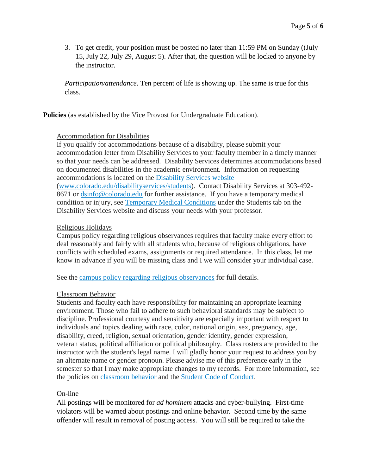3. To get credit, your position must be posted no later than 11:59 PM on Sunday ((July 15, July 22, July 29, August 5). After that, the question will be locked to anyone by the instructor.

*Participation/attendance*. Ten percent of life is showing up. The same is true for this class.

**Policies** (as established by the Vice Provost for Undergraduate Education).

## Accommodation for Disabilities

If you qualify for accommodations because of a disability, please submit your accommodation letter from Disability Services to your faculty member in a timely manner so that your needs can be addressed. Disability Services determines accommodations based on documented disabilities in the academic environment. Information on requesting accommodations is located on the [Disability](http://www.colorado.edu/disabilityservices/students) Services website [\(www.colorado.edu/disabilityservices/students\)](http://www.colorado.edu/disabilityservices/students). Contact Disability Services at 303-492- 8671 or [dsinfo@colorado.edu](mailto:dsinfo@colorado.edu) for further assistance. If you have a temporary medical condition or injury, see [Temporary](http://www.colorado.edu/disabilityservices/students/temporary-medical-conditions) Medical Conditions under the Students tab on the Disability Services website and discuss your needs with your professor.

# Religious Holidays

Campus policy regarding religious observances requires that faculty make every effort to deal reasonably and fairly with all students who, because of religious obligations, have conflicts with scheduled exams, assignments or required attendance. In this class, let me know in advance if you will be missing class and I we will consider your individual case.

See the campus policy regarding religious [observances](http://www.colorado.edu/policies/observance-religious-holidays-and-absences-classes-andor-exams) for full details.

# Classroom Behavior

Students and faculty each have responsibility for maintaining an appropriate learning environment. Those who fail to adhere to such behavioral standards may be subject to discipline. Professional courtesy and sensitivity are especially important with respect to individuals and topics dealing with race, color, national origin, sex, pregnancy, age, disability, creed, religion, sexual orientation, gender identity, gender expression, veteran status, political affiliation or political philosophy. Class rosters are provided to the instructor with the student's legal name. I will gladly honor your request to address you by an alternate name or gender pronoun. Please advise me of this preference early in the semester so that I may make appropriate changes to my records. For more information, see the policies on [classroom](http://www.colorado.edu/policies/student-classroom-and-course-related-behavior) behavior and the Student Code of [Conduct.](http://www.colorado.edu/osccr/)

# On-line

All postings will be monitored for *ad hominem* attacks and cyber-bullying. First-time violators will be warned about postings and online behavior. Second time by the same offender will result in removal of posting access. You will still be required to take the